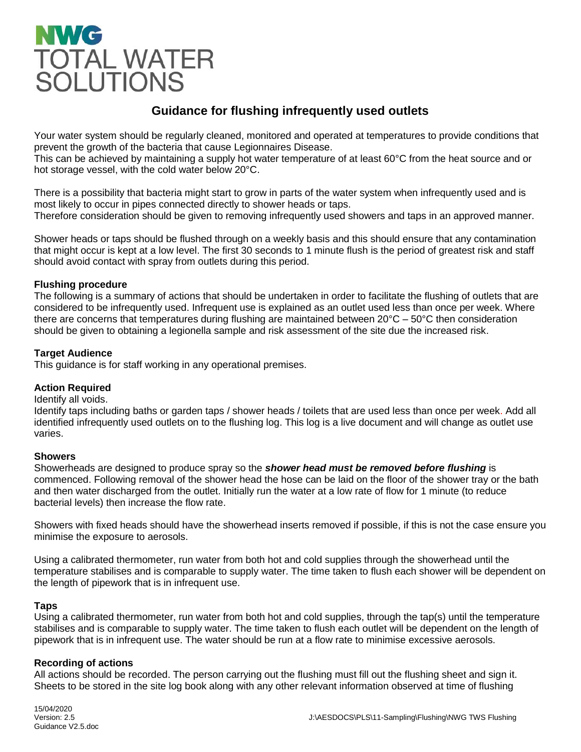# **NWG** TOTAL WATER<br>SOLUTIONS

### **Guidance for flushing infrequently used outlets**

Your water system should be regularly cleaned, monitored and operated at temperatures to provide conditions that prevent the growth of the bacteria that cause Legionnaires Disease.

This can be achieved by maintaining a supply hot water temperature of at least 60°C from the heat source and or hot storage vessel, with the cold water below 20°C.

There is a possibility that bacteria might start to grow in parts of the water system when infrequently used and is most likely to occur in pipes connected directly to shower heads or taps. Therefore consideration should be given to removing infrequently used showers and taps in an approved manner.

Shower heads or taps should be flushed through on a weekly basis and this should ensure that any contamination that might occur is kept at a low level. The first 30 seconds to 1 minute flush is the period of greatest risk and staff should avoid contact with spray from outlets during this period.

#### **Flushing procedure**

The following is a summary of actions that should be undertaken in order to facilitate the flushing of outlets that are considered to be infrequently used. Infrequent use is explained as an outlet used less than once per week. Where there are concerns that temperatures during flushing are maintained between  $20^{\circ}C - 50^{\circ}C$  then consideration should be given to obtaining a legionella sample and risk assessment of the site due the increased risk.

#### **Target Audience**

This guidance is for staff working in any operational premises.

#### **Action Required**

#### Identify all voids.

Identify taps including baths or garden taps / shower heads / toilets that are used less than once per week. Add all identified infrequently used outlets on to the flushing log. This log is a live document and will change as outlet use varies.

#### **Showers**

Showerheads are designed to produce spray so the *shower head must be removed before flushing* is commenced. Following removal of the shower head the hose can be laid on the floor of the shower tray or the bath and then water discharged from the outlet. Initially run the water at a low rate of flow for 1 minute (to reduce bacterial levels) then increase the flow rate.

Showers with fixed heads should have the showerhead inserts removed if possible, if this is not the case ensure you minimise the exposure to aerosols.

Using a calibrated thermometer, run water from both hot and cold supplies through the showerhead until the temperature stabilises and is comparable to supply water. The time taken to flush each shower will be dependent on the length of pipework that is in infrequent use.

#### **Taps**

Using a calibrated thermometer, run water from both hot and cold supplies, through the tap(s) until the temperature stabilises and is comparable to supply water. The time taken to flush each outlet will be dependent on the length of pipework that is in infrequent use. The water should be run at a flow rate to minimise excessive aerosols.

#### **Recording of actions**

All actions should be recorded. The person carrying out the flushing must fill out the flushing sheet and sign it. Sheets to be stored in the site log book along with any other relevant information observed at time of flushing